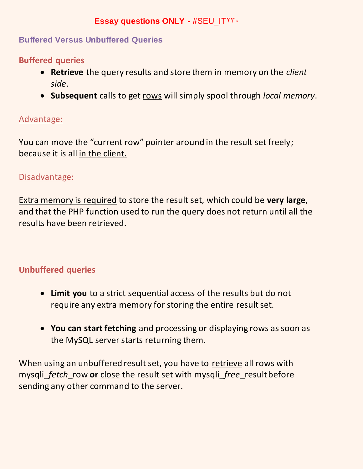### **Essay questions ONLY - #SEU ITTT.**

#### **Buffered Versus Unbuffered Queries**

#### **Buffered queries**

- **Retrieve** the query results and store them in memory on the *client side*.
- **Subsequent** calls to get rows will simply spool through *local memory*.

#### Advantage:

You can move the "current row" pointer around in the result set freely; because it is all in the client.

#### Disadvantage:

Extra memory is required to store the result set, which could be **very large**, and that the PHP function used to run the query does not return until all the results have been retrieved.

## **Unbuffered queries**

- **Limit you** to a strict sequential access of the results but do not require any extra memory for storing the entire result set.
- **You can start fetching** and processing or displaying rows as soon as the MySQL server starts returning them.

When using an unbuffered result set, you have to retrieve all rows with mysqli\_*fetch*\_row **or** close the result set with mysqli\_*free*\_result before sending any other command to the server.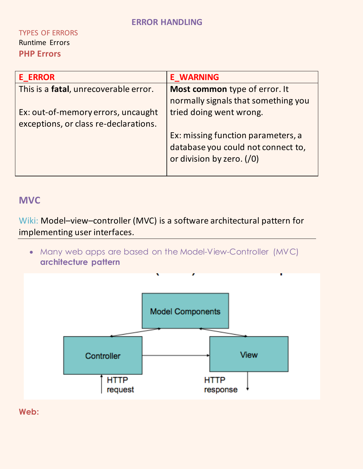#### TYPES OF ERRORS Runtime Errors **PHP Errors**

| <b>E ERROR</b>                                | <b>E WARNING</b>                    |  |
|-----------------------------------------------|-------------------------------------|--|
| This is a <b>fatal</b> , unrecoverable error. | Most common type of error. It       |  |
|                                               | normally signals that something you |  |
| Ex: out-of-memory errors, uncaught            | tried doing went wrong.             |  |
| exceptions, or class re-declarations.         |                                     |  |
|                                               | Ex: missing function parameters, a  |  |
|                                               | database you could not connect to,  |  |
|                                               | or division by zero. (/0)           |  |
|                                               |                                     |  |

## **MVC**

Wiki: Model–view–controller (MVC) is a software architectural pattern for implementing user interfaces.

 Many web apps are based on the Model-View-Controller (MVC) **architecture pattern**



**Web:**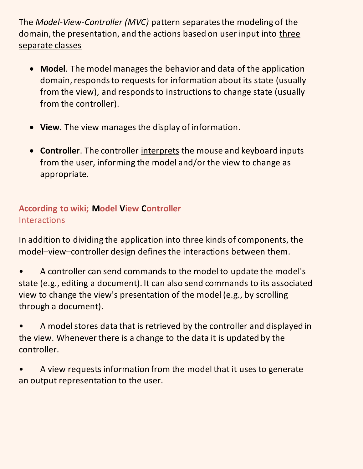The *Model-View-Controller (MVC)* pattern separates the modeling of the domain, the presentation, and the actions based on user input into three separate classes

- **Model**. The model manages the behavior and data of the application domain, responds to requests for information about its state (usually from the view), and responds to instructions to change state (usually from the controller).
- **View**. The view manages the display of information.
- **Controller**. The controller interprets the mouse and keyboard inputs from the user, informing the model and/or the view to change as appropriate.

## **According to wiki; Model View Controller** Interactions

In addition to dividing the application into three kinds of components, the model–view–controller design defines the interactions between them.

- A controller can send commands to the model to update the model's state (e.g., editing a document). It can also send commands to its associated view to change the view's presentation of the model (e.g., by scrolling through a document).
- A model stores data that is retrieved by the controller and displayed in the view. Whenever there is a change to the data it is updated by the controller.
- A view requests information from the model that it uses to generate an output representation to the user.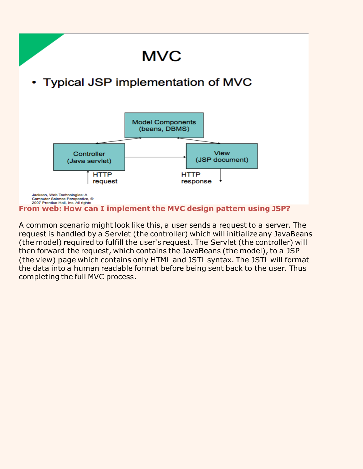

**From web: How can I implement the MVC design pattern using JSP?**

A common scenario might look like this, a user sends a request to a server. The request is handled by a Servlet (the controller) which will initialize any JavaBeans (the model) required to fulfill the user's request. The Servlet (the controller) will then forward the request, which contains the JavaBeans (the model), to a JSP (the view) page which contains only HTML and JSTL syntax. The JSTL will format the data into a human readable format before being sent back to the user. Thus completing the full MVC process.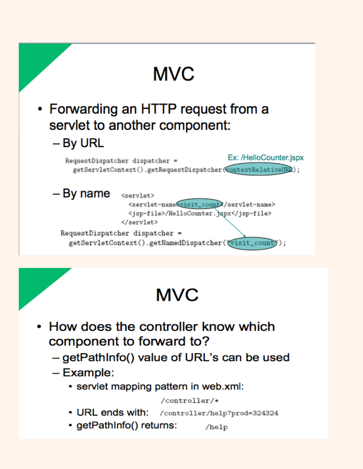

## **MVC**

- How does the controller know which component to forward to?
	- getPathInfo() value of URL's can be used
	- $-$  Example:
		- servlet mapping pattern in web.xml:

#### /controller/\*

- URL ends with: /controller/help?prod=324324
- getPathInfo() returns: /help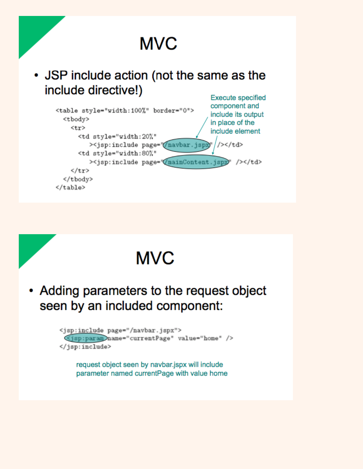

• JSP include action (not the same as the include directive!) **Execute specified** 

| <table border="0" style="width:100%"><br/><tbody></tbody></table>                                                                                                                                         |                     | component and<br>include its output<br>in place of the |  |
|-----------------------------------------------------------------------------------------------------------------------------------------------------------------------------------------------------------|---------------------|--------------------------------------------------------|--|
| <tr></tr>                                                                                                                                                                                                 |                     | include element                                        |  |
|                                                                                                                                                                                                           |                     |                                                        |  |
| <td <="" style="width:20%" td=""><td></td><td></td></td>                                                                                                                                                  | <td></td> <td></td> |                                                        |  |
| > <jsp:include page="/navbar.jspx&lt;/td&gt;&lt;td&gt;&lt;/td&gt;&lt;td&gt;/&gt;&lt;/td&gt;&lt;/td&gt;&lt;/tr&gt;&lt;tr&gt;&lt;td&gt;&lt;td style=" td="" width:80%"<=""><td></td><td></td></jsp:include> |                     |                                                        |  |
| ><jsp:include page="Q</td> <td>mainContent.jspx</td> <td>/&gt;</td>                                                                                                                                       | mainContent.jspx    | />                                                     |  |
| $\langle$ /tr>                                                                                                                                                                                            |                     |                                                        |  |
|                                                                                                                                                                                                           |                     |                                                        |  |
|                                                                                                                                                                                                           |                     |                                                        |  |

  |  |

# **MVC**

• Adding parameters to the request object seen by an included component:

> <jsp:include page="/navbar.jspx"> <jsp:param name="currentPage" value="home" /> </jsp:include>

request object seen by navbar.jspx will include parameter named currentPage with value home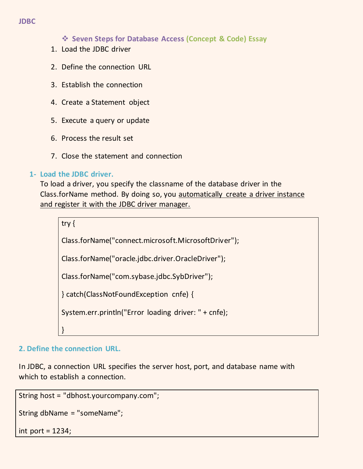#### **JDBC**

**Seven Steps for Database Access (Concept & Code) Essay**

- 1. Load the JDBC driver
- 2. Define the connection URL
- 3. Establish the connection
- 4. Create a Statement object
- 5. Execute a query or update
- 6. Process the result set
- 7. Close the statement and connection

#### **1- Load the JDBC driver.**

To load a driver, you specify the classname of the database driver in the Class.forName method. By doing so, you automatically create a driver instance and register it with the JDBC driver manager.

```
try {
Class.forName("connect.microsoft.MicrosoftDriver");
Class.forName("oracle.jdbc.driver.OracleDriver");
Class.forName("com.sybase.jdbc.SybDriver");
} catch(ClassNotFoundException cnfe) {
System.err.println("Error loading driver: " + cnfe);
}
```
#### **2. Define the connection URL.**

In JDBC, a connection URL specifies the server host, port, and database name with which to establish a connection.

String host = "dbhost.yourcompany.com";

String dbName = "someName";

int port  $= 1234$ ;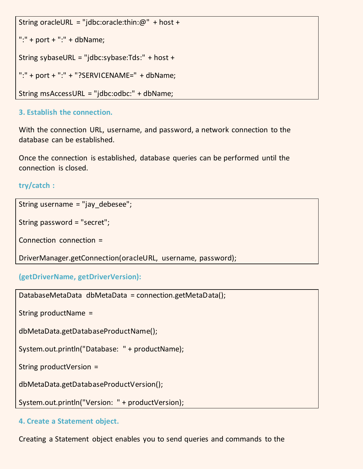```
String oracleURL = "jdbc:oracle:thin:@" + host +
```

```
":" + port + ":" + dbName:
```

```
String sybaseURL = "jdbc:sybase:Tds:" + host +
```

```
":" + port + ":" + "?SERVICENAME=" + dbName;
```

```
String msAccessURL = "jdbc:odbc:" + dbName;
```
#### **3. Establish the connection.**

With the connection URL, username, and password, a network connection to the database can be established.

Once the connection is established, database queries can be performed until the connection is closed.

#### **try/catch :**

```
String username = "jay_debesee";
```

```
String password = "secret";
```

```
Connection connection =
```

```
DriverManager.getConnection(oracleURL, username, password);
```

```
(getDriverName, getDriverVersion):
```

```
DatabaseMetaData dbMetaData = connection.getMetaData();
```
String productName =

dbMetaData.getDatabaseProductName();

```
System.out.println("Database: " + productName);
```
String productVersion =

dbMetaData.getDatabaseProductVersion();

System.out.println("Version: " + productVersion);

**4. Create a Statement object.** 

Creating a Statement object enables you to send queries and commands to the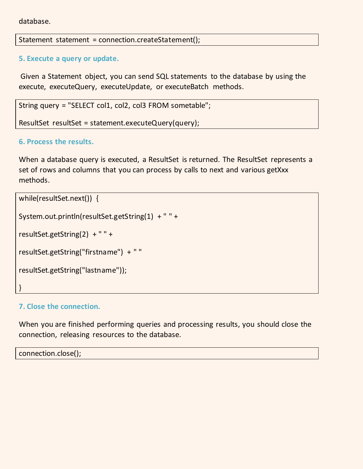database.

Statement statement = connection.createStatement();

#### **5. Execute a query or update.**

Given a Statement object, you can send SQL statements to the database by using the execute, executeQuery, executeUpdate, or executeBatch methods.

String query = "SELECT col1, col2, col3 FROM sometable";

ResultSet resultSet = statement.executeQuery(query);

#### **6. Process the results.**

When a database query is executed, a ResultSet is returned. The ResultSet represents a set of rows and columns that you can process by calls to next and various getXxx methods.

```
while(resultSet.next()) {
System.out.println(resultSet.getString(1) + " " +
resultSet.getString(2) + " " +
resultSet.getString("firstname") + " "
resultSet.getString("lastname"));
}
```
#### **7. Close the connection.**

When you are finished performing queries and processing results, you should close the connection, releasing resources to the database.

connection.close();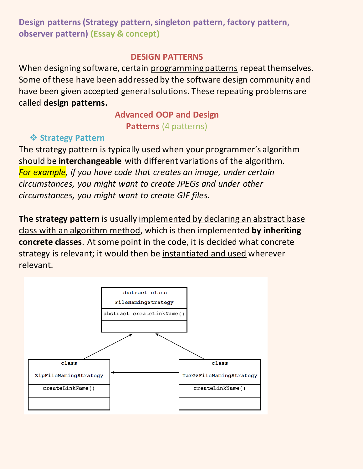## **Design patterns (Strategy pattern, singleton pattern, factory pattern, observer pattern) (Essay & concept)**

#### **DESIGN PATTERNS**

When designing software, certain programming patterns repeat themselves. Some of these have been addressed by the software design community and have been given accepted general solutions. These repeating problems are called **design patterns.**

## **Advanced OOP and Design Patterns** (4 patterns)

## **❖ Strategy Pattern**

The strategy pattern is typically used when your programmer's algorithm should be **interchangeable** with different variations of the algorithm. *For example, if you have code that creates an image, under certain circumstances, you might want to create JPEGs and under other circumstances, you might want to create GIF files.*

**The strategy pattern** is usually implemented by declaring an abstract base class with an algorithm method, which is then implemented **by inheriting concrete classes**. At some point in the code, it is decided what concrete strategy is relevant; it would then be instantiated and used wherever relevant.

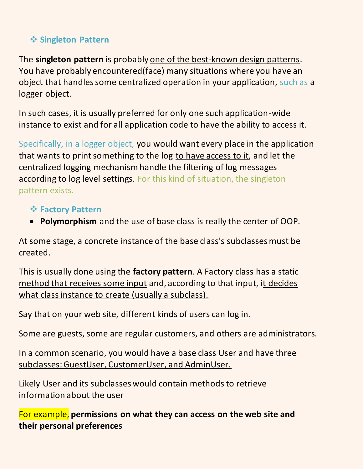## **Singleton Pattern**

The **singleton pattern** is probably one of the best-known design patterns. You have probably encountered(face) many situations where you have an object that handles some centralized operation in your application, such as a logger object.

In such cases, it is usually preferred for only one such application-wide instance to exist and for all application code to have the ability to access it.

Specifically, in a logger object, you would want every place in the application that wants to print something to the log to have access to it, and let the centralized logging mechanism handle the filtering of log messages according to log level settings. For this kind of situation, the singleton pattern exists.

## **Factory Pattern**

**Polymorphism** and the use of base class is really the center of OOP.

At some stage, a concrete instance of the base class's subclasses must be created.

This is usually done using the **factory pattern**. A Factory class has a static method that receives some input and, according to that input, it decides what class instance to create (usually a subclass).

Say that on your web site, different kinds of users can log in.

Some are guests, some are regular customers, and others are administrators.

In a common scenario, you would have a base class User and have three subclasses: GuestUser, CustomerUser, and AdminUser.

Likely User and its subclasses would contain methods to retrieve information about the user

For example, **permissions on what they can access on the web site and their personal preferences**